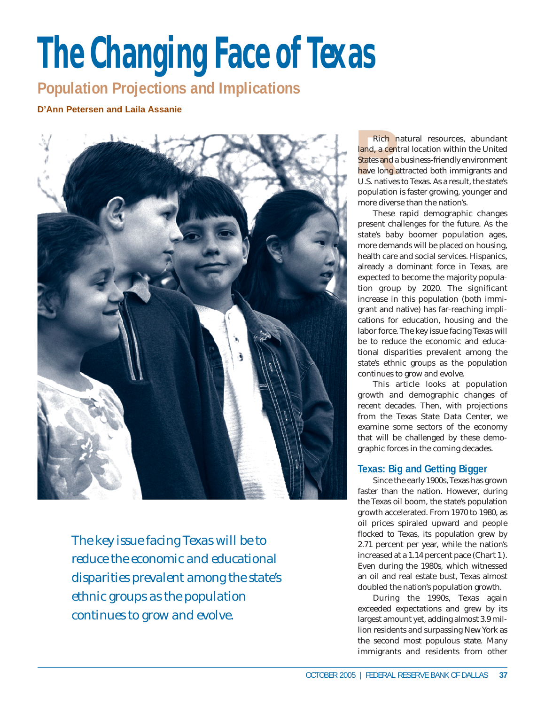# **The Changing Face of Texas**

**Population Projections and Implications**

**D'Ann Petersen and Laila Assanie**



*The key issue facing Texas will be to reduce the economic and educational disparities prevalent among the state's ethnic groups as the population continues to grow and evolve.*

Rich<br>
land, a co<br>
States and<br>
have long<br>
U.S. native Rich natural resources, abundant land, a central location within the United States and a business-friendly environment have long attracted both immigrants and U.S. natives to Texas. As a result, the state's population is faster growing, younger and more diverse than the nation's.

These rapid demographic changes present challenges for the future. As the state's baby boomer population ages, more demands will be placed on housing, health care and social services. Hispanics, already a dominant force in Texas, are expected to become the majority population group by 2020. The significant increase in this population (both immigrant and native) has far-reaching implications for education, housing and the labor force. The key issue facing Texas will be to reduce the economic and educational disparities prevalent among the state's ethnic groups as the population continues to grow and evolve.

This article looks at population growth and demographic changes of recent decades. Then, with projections from the Texas State Data Center, we examine some sectors of the economy that will be challenged by these demographic forces in the coming decades.

## **Texas: Big and Getting Bigger**

Since the early 1900s, Texas has grown faster than the nation. However, during the Texas oil boom, the state's population growth accelerated. From 1970 to 1980, as oil prices spiraled upward and people flocked to Texas, its population grew by 2.71 percent per year, while the nation's increased at a 1.14 percent pace (*Chart 1*). Even during the 1980s, which witnessed an oil and real estate bust, Texas almost doubled the nation's population growth.

During the 1990s, Texas again exceeded expectations and grew by its largest amount yet, adding almost 3.9 million residents and surpassing New York as the second most populous state. Many immigrants and residents from other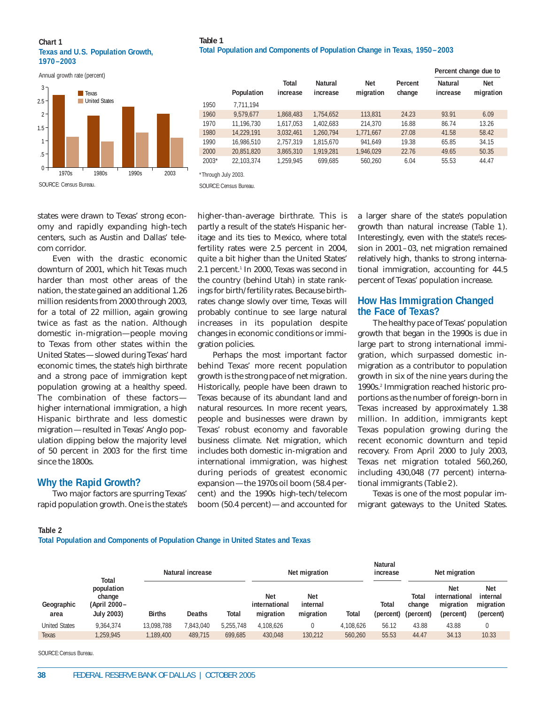# **Table 1**

#### **Chart 1 Texas and U.S. Population Growth, 1970–2003**

Annual growth rate (percent)



**Total Population and Components of Population Change in Texas, 1950–2003**

|         | Population |                   | <b>Natural</b><br>increase |                  |                   | <b>Percent criding due to</b> |                         |  |
|---------|------------|-------------------|----------------------------|------------------|-------------------|-------------------------------|-------------------------|--|
|         |            | Total<br>increase |                            | Net<br>migration | Percent<br>change | <b>Natural</b><br>increase    | <b>Net</b><br>migration |  |
| 1950    | 7.711.194  |                   |                            |                  |                   |                               |                         |  |
| 1960    | 9.579.677  | 1,868,483         | 1,754,652                  | 113,831          | 24.23             | 93.91                         | 6.09                    |  |
| 1970    | 11.196.730 | 1.617.053         | 1,402,683                  | 214.370          | 16.88             | 86.74                         | 13.26                   |  |
| 1980    | 14.229.191 | 3,032,461         | 1.260.794                  | 1,771,667        | 27.08             | 41.58                         | 58.42                   |  |
| 1990    | 16.986.510 | 2.757.319         | 1.815.670                  | 941.649          | 19.38             | 65.85                         | 34.15                   |  |
| 2000    | 20.851.820 | 3,865,310         | 1.919.281                  | 1,946,029        | 22.76             | 49.65                         | 50.35                   |  |
| $2003*$ | 22.103.374 | 1.259.945         | 699.685                    | 560.260          | 6.04              | 55.53                         | 44.47                   |  |

SOURCE:Census Bureau.

states were drawn to Texas' strong economy and rapidly expanding high-tech centers, such as Austin and Dallas' telecom corridor.

Even with the drastic economic downturn of 2001, which hit Texas much harder than most other areas of the nation, the state gained an additional 1.26 million residents from 2000 through 2003, for a total of 22 million, again growing twice as fast as the nation. Although domestic in-migration—people moving to Texas from other states within the United States—slowed during Texas' hard economic times, the state's high birthrate and a strong pace of immigration kept population growing at a healthy speed. The combination of these factors higher international immigration, a high Hispanic birthrate and less domestic migration—resulted in Texas' Anglo population dipping below the majority level of 50 percent in 2003 for the first time since the 1800s.

## **Why the Rapid Growth?**

Two major factors are spurring Texas' rapid population growth. One is the state's higher-than-average birthrate. This is partly a result of the state's Hispanic heritage and its ties to Mexico, where total fertility rates were 2.5 percent in 2004, quite a bit higher than the United States' 2.1 percent.<sup>1</sup> In 2000, Texas was second in the country (behind Utah) in state rankings for birth/fertility rates. Because birthrates change slowly over time, Texas will probably continue to see large natural increases in its population despite changes in economic conditions or immigration policies.

Perhaps the most important factor behind Texas' more recent population growth is the strong pace of net migration. Historically, people have been drawn to Texas because of its abundant land and natural resources. In more recent years, people and businesses were drawn by Texas' robust economy and favorable business climate. Net migration, which includes both domestic in-migration and international immigration, was highest during periods of greatest economic expansion—the 1970s oil boom (58.4 percent) and the 1990s high-tech/telecom boom (50.4 percent)—and accounted for a larger share of the state's population growth than natural increase (*Table 1*). Interestingly, even with the state's recession in 2001–03, net migration remained relatively high, thanks to strong international immigration, accounting for 44.5 percent of Texas' population increase.

**Percent change due to**

## **How Has Immigration Changed the Face of Texas?**

The healthy pace of Texas' population growth that began in the 1990s is due in large part to strong international immigration, which surpassed domestic inmigration as a contributor to population growth in six of the nine years during the 1990s.2 Immigration reached historic proportions as the number of foreign-born in Texas increased by approximately 1.38 million. In addition, immigrants kept Texas population growing during the recent economic downturn and tepid recovery. From April 2000 to July 2003, Texas net migration totaled 560,260, including 430,048 (77 percent) international immigrants (*Table 2*).

Texas is one of the most popular immigrant gateways to the United States.

**Total Population and Components of Population Change in United States and Texas**

| Geographic<br>area   | Total<br>population<br>change<br>(April 2000–<br><b>July 2003)</b> |               | Natural increase |              |                                          | Net migration                       |           |                    | Net migration                |                                                       |                                                  |
|----------------------|--------------------------------------------------------------------|---------------|------------------|--------------|------------------------------------------|-------------------------------------|-----------|--------------------|------------------------------|-------------------------------------------------------|--------------------------------------------------|
|                      |                                                                    | <b>Births</b> | Deaths           | <b>Total</b> | <b>Net</b><br>international<br>migration | <b>Net</b><br>internal<br>migration | Total     | Total<br>(percent) | Total<br>change<br>(percent) | <b>Net</b><br>international<br>migration<br>(percent) | <b>Net</b><br>internal<br>migration<br>(percent) |
| <b>United States</b> | 9.364.374                                                          | 13.098.788    | 7,843,040        | 5.255.748    | 4.108.626                                |                                     | 4.108.626 | 56.12              | 43.88                        | 43.88                                                 |                                                  |
| Texas                | 1.259.945                                                          | 1,189,400     | 489.715          | 699.685      | 430.048                                  | 130,212                             | 560,260   | 55.53              | 44.47                        | 34.13                                                 | 10.33                                            |

SOURCE:Census Bureau.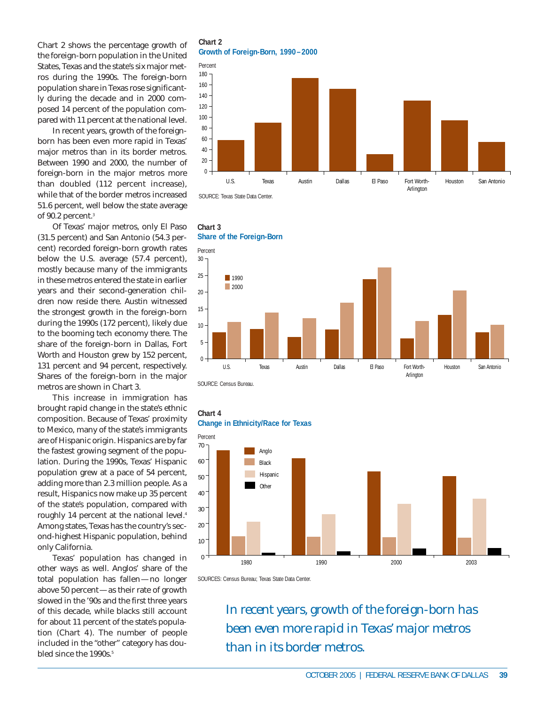Chart 2 shows the percentage growth of the foreign-born population in the United States, Texas and the state's six major metros during the 1990s. The foreign-born population share in Texas rose significantly during the decade and in 2000 composed 14 percent of the population compared with 11 percent at the national level.

In recent years, growth of the foreignborn has been even more rapid in Texas' major metros than in its border metros. Between 1990 and 2000, the number of foreign-born in the major metros more than doubled (112 percent increase), while that of the border metros increased 51.6 percent, well below the state average of 90.2 percent.<sup>3</sup>

Of Texas' major metros, only El Paso (31.5 percent) and San Antonio (54.3 percent) recorded foreign-born growth rates below the U.S. average (57.4 percent), mostly because many of the immigrants in these metros entered the state in earlier years and their second-generation children now reside there. Austin witnessed the strongest growth in the foreign-born during the 1990s (172 percent), likely due to the booming tech economy there. The share of the foreign-born in Dallas, Fort Worth and Houston grew by 152 percent, 131 percent and 94 percent, respectively. Shares of the foreign-born in the major metros are shown in Chart 3.

This increase in immigration has brought rapid change in the state's ethnic composition. Because of Texas' proximity to Mexico, many of the state's immigrants are of Hispanic origin. Hispanics are by far the fastest growing segment of the population. During the 1990s, Texas' Hispanic population grew at a pace of 54 percent, adding more than 2.3 million people. As a result, Hispanics now make up 35 percent of the state's population, compared with roughly 14 percent at the national level.4 Among states, Texas has the country's second-highest Hispanic population, behind only California.

Texas' population has changed in other ways as well. Anglos' share of the total population has fallen—no longer above 50 percent—as their rate of growth slowed in the '90s and the first three years of this decade, while blacks still account for about 11 percent of the state's population (*Chart 4*). The number of people included in the "other" category has doubled since the 1990s.<sup>5</sup>

**Chart 2 Growth of Foreign-Born, 1990–2000**





SOURCE: Census Bureau.

**Chart 3**





SOURCES: Census Bureau; Texas State Data Center.

*In recent years, growth of the foreign-born has been even more rapid in Texas' major metros than in its border metros.*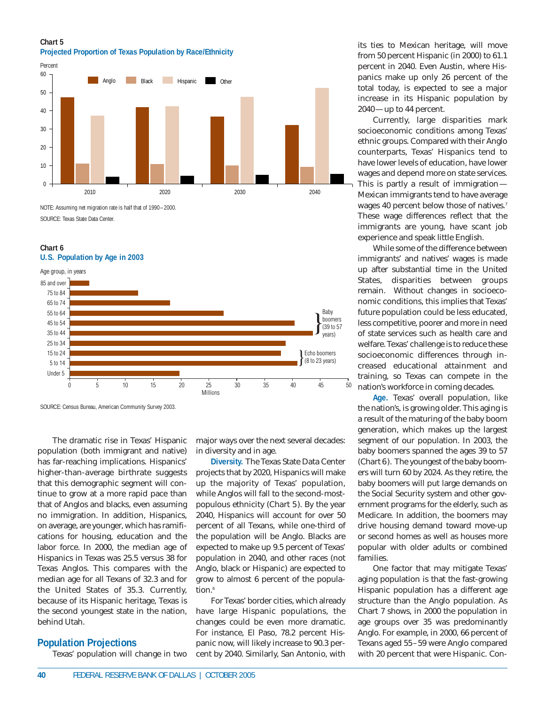**Chart 5 Projected Proportion of Texas Population by Race/Ethnicity**



NOTE: Assuming net migration rate is half that of 1990–2000. SOURCE: Texas State Data Center.

#### **Chart 6 U.S. Population by Age in 2003**



SOURCE: Census Bureau, American Community Survey 2003.

The dramatic rise in Texas' Hispanic population (both immigrant and native) has far-reaching implications. Hispanics' higher-than-average birthrate suggests that this demographic segment will continue to grow at a more rapid pace than that of Anglos and blacks, even assuming no immigration. In addition, Hispanics, on average, are younger, which has ramifications for housing, education and the labor force. In 2000, the median age of Hispanics in Texas was 25.5 versus 38 for Texas Anglos. This compares with the median age for all Texans of 32.3 and for the United States of 35.3. Currently, because of its Hispanic heritage, Texas is the second youngest state in the nation, behind Utah.

## **Population Projections**

Texas' population will change in two

major ways over the next several decades: in diversity and in age.

**Diversity.** The Texas State Data Center projects that by 2020, Hispanics will make up the majority of Texas' population, while Anglos will fall to the second-mostpopulous ethnicity (*Chart 5*). By the year 2040, Hispanics will account for over 50 percent of all Texans, while one-third of the population will be Anglo. Blacks are expected to make up 9.5 percent of Texas' population in 2040, and other races (not Anglo, black or Hispanic) are expected to grow to almost 6 percent of the population.<sup>6</sup>

For Texas' border cities, which already have large Hispanic populations, the changes could be even more dramatic. For instance, El Paso, 78.2 percent Hispanic now, will likely increase to 90.3 percent by 2040. Similarly, San Antonio, with its ties to Mexican heritage, will move from 50 percent Hispanic (in 2000) to 61.1 percent in 2040. Even Austin, where Hispanics make up only 26 percent of the total today, is expected to see a major increase in its Hispanic population by 2040—up to 44 percent.

Currently, large disparities mark socioeconomic conditions among Texas' ethnic groups. Compared with their Anglo counterparts, Texas' Hispanics tend to have lower levels of education, have lower wages and depend more on state services. This is partly a result of immigration— Mexican immigrants tend to have average wages 40 percent below those of natives.<sup>7</sup> These wage differences reflect that the immigrants are young, have scant job experience and speak little English.

While some of the difference between immigrants' and natives' wages is made up after substantial time in the United States, disparities between groups remain. Without changes in socioeconomic conditions, this implies that Texas' future population could be less educated, less competitive, poorer and more in need of state services such as health care and welfare. Texas' challenge is to reduce these socioeconomic differences through increased educational attainment and training, so Texas can compete in the nation's workforce in coming decades.

**Age.** Texas' overall population, like the nation's, is growing older. This aging is a result of the maturing of the baby boom generation, which makes up the largest segment of our population. In 2003, the baby boomers spanned the ages 39 to 57 (*Chart 6*). The youngest of the baby boomers will turn 60 by 2024. As they retire, the baby boomers will put large demands on the Social Security system and other government programs for the elderly, such as Medicare. In addition, the boomers may drive housing demand toward move-up or second homes as well as houses more popular with older adults or combined families.

One factor that may mitigate Texas' aging population is that the fast-growing Hispanic population has a different age structure than the Anglo population. As Chart 7 shows, in 2000 the population in age groups over 35 was predominantly Anglo. For example, in 2000, 66 percent of Texans aged 55–59 were Anglo compared with 20 percent that were Hispanic. Con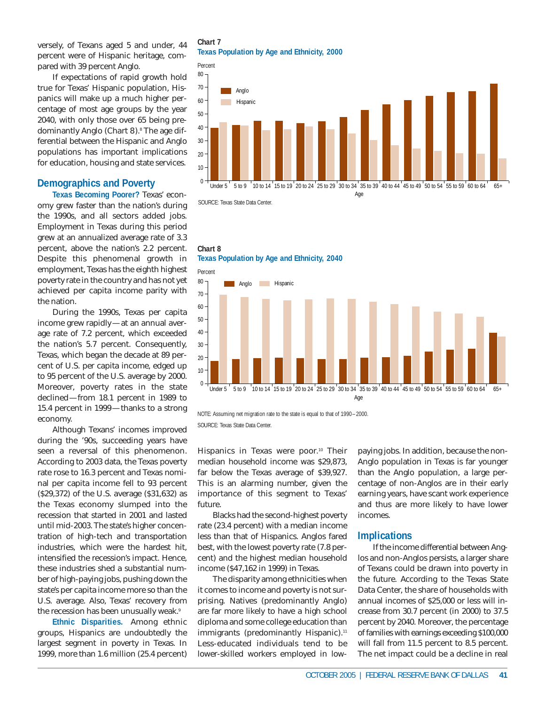versely, of Texans aged 5 and under, 44 percent were of Hispanic heritage, compared with 39 percent Anglo.

If expectations of rapid growth hold true for Texas' Hispanic population, Hispanics will make up a much higher percentage of most age groups by the year 2040, with only those over 65 being predominantly Anglo (*Chart 8*).<sup>8</sup> The age differential between the Hispanic and Anglo populations has important implications for education, housing and state services.

## **Demographics and Poverty**

**Texas Becoming Poorer?** Texas' economy grew faster than the nation's during the 1990s, and all sectors added jobs. Employment in Texas during this period grew at an annualized average rate of 3.3 percent, above the nation's 2.2 percent. Despite this phenomenal growth in employment, Texas has the eighth highest poverty rate in the country and has not yet achieved per capita income parity with the nation.

During the 1990s, Texas per capita income grew rapidly—at an annual average rate of 7.2 percent, which exceeded the nation's 5.7 percent. Consequently, Texas, which began the decade at 89 percent of U.S. per capita income, edged up to 95 percent of the U.S. average by 2000. Moreover, poverty rates in the state declined—from 18.1 percent in 1989 to 15.4 percent in 1999—thanks to a strong economy.

Although Texans' incomes improved during the '90s, succeeding years have seen a reversal of this phenomenon. According to 2003 data, the Texas poverty rate rose to 16.3 percent and Texas nominal per capita income fell to 93 percent (\$29,372) of the U.S. average (\$31,632) as the Texas economy slumped into the recession that started in 2001 and lasted until mid-2003. The state's higher concentration of high-tech and transportation industries, which were the hardest hit, intensified the recession's impact. Hence, these industries shed a substantial number of high-paying jobs, pushing down the state's per capita income more so than the U.S. average. Also, Texas' recovery from the recession has been unusually weak.<sup>9</sup>

**Ethnic Disparities.** Among ethnic groups, Hispanics are undoubtedly the largest segment in poverty in Texas. In 1999, more than 1.6 million (25.4 percent)

# **Chart 7**

**Texas Population by Age and Ethnicity, 2000**



**Chart 8**





NOTE: Assuming net migration rate to the state is equal to that of 1990–2000. SOURCE: Texas State Data Center.

Hispanics in Texas were poor.<sup>10</sup> Their median household income was \$29,873, far below the Texas average of \$39,927. This is an alarming number, given the importance of this segment to Texas' future.

Blacks had the second-highest poverty rate (23.4 percent) with a median income less than that of Hispanics. Anglos fared best, with the lowest poverty rate (7.8 percent) and the highest median household income (\$47,162 in 1999) in Texas.

The disparity among ethnicities when it comes to income and poverty is not surprising. Natives (predominantly Anglo) are far more likely to have a high school diploma and some college education than immigrants (predominantly Hispanic).<sup>11</sup> Less-educated individuals tend to be lower-skilled workers employed in low-

paying jobs. In addition, because the non-Anglo population in Texas is far younger than the Anglo population, a large percentage of non-Anglos are in their early earning years, have scant work experience and thus are more likely to have lower incomes.

## **Implications**

If the income differential between Anglos and non-Anglos persists, a larger share of Texans could be drawn into poverty in the future. According to the Texas State Data Center, the share of households with annual incomes of \$25,000 or less will increase from 30.7 percent (in 2000) to 37.5 percent by 2040. Moreover, the percentage of families with earnings exceeding \$100,000 will fall from 11.5 percent to 8.5 percent. The net impact could be a decline in real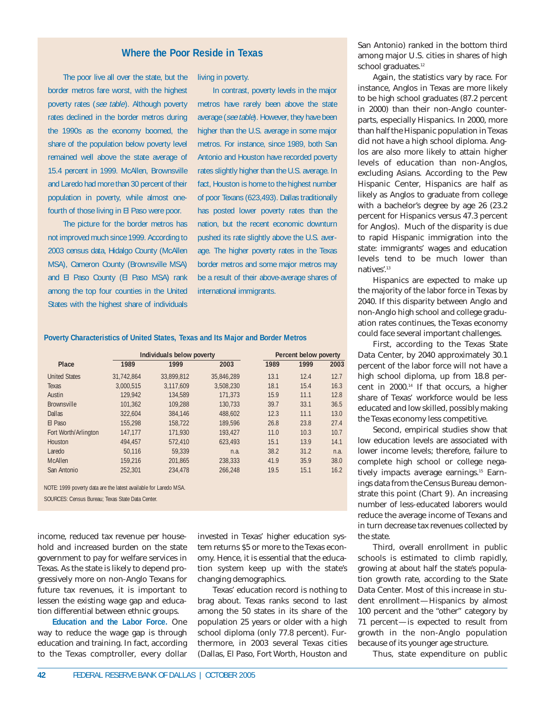## **Where the Poor Reside in Texas**

The poor live all over the state, but the border metros fare worst, with the highest poverty rates (see table). Although poverty rates declined in the border metros during the 1990s as the economy boomed, the share of the population below poverty level remained well above the state average of 15.4 percent in 1999. McAllen, Brownsville and Laredo had more than 30 percent of their population in poverty, while almost onefourth of those living in El Paso were poor.

The picture for the border metros has not improved much since 1999. According to 2003 census data, Hidalgo County (McAllen MSA), Cameron County (Brownsville MSA) and El Paso County (El Paso MSA) rank among the top four counties in the United States with the highest share of individuals

living in poverty.

In contrast, poverty levels in the major metros have rarely been above the state average (see table). However, they have been higher than the U.S. average in some major metros. For instance, since 1989, both San Antonio and Houston have recorded poverty rates slightly higher than the U.S. average. In fact, Houston is home to the highest number of poor Texans (623,493). Dallas traditionally has posted lower poverty rates than the nation, but the recent economic downturn pushed its rate slightly above the U.S. average. The higher poverty rates in the Texas border metros and some major metros may be a result of their above-average shares of international immigrants.

**Poverty Characteristics of United States, Texas and Its Major and Border Metros**

|                                                                  |            | Individuals below poverty | <b>Percent below poverty</b> |      |      |      |  |
|------------------------------------------------------------------|------------|---------------------------|------------------------------|------|------|------|--|
| Place                                                            | 1989       | 1999                      | 2003                         | 1989 | 1999 | 2003 |  |
| <b>United States</b>                                             | 31.742.864 | 33.899.812                | 35.846.289                   | 13.1 | 12.4 | 12.7 |  |
| <b>Texas</b>                                                     | 3,000,515  | 3.117.609                 | 3.508.230                    | 18.1 | 15.4 | 16.3 |  |
| Austin                                                           | 129,942    | 134,589                   | 171,373                      | 15.9 | 11.1 | 12.8 |  |
| <b>Brownsville</b>                                               | 101.362    | 109.288                   | 130.733                      | 39.7 | 33.1 | 36.5 |  |
| <b>Dallas</b>                                                    | 322.604    | 384.146                   | 488.602                      | 12.3 | 11.1 | 13.0 |  |
| El Paso                                                          | 155.298    | 158,722                   | 189.596                      | 26.8 | 23.8 | 27.4 |  |
| Fort Worth/Arlington                                             | 147.177    | 171.930                   | 193.427                      | 11.0 | 10.3 | 10.7 |  |
| Houston                                                          | 494.457    | 572,410                   | 623.493                      | 15.1 | 13.9 | 14.1 |  |
| Laredo                                                           | 50.116     | 59.339                    | n.a.                         | 38.2 | 31.2 | n.a. |  |
| <b>McAllen</b>                                                   | 159.216    | 201.865                   | 238.333                      | 41.9 | 35.9 | 38.0 |  |
| San Antonio                                                      | 252.301    | 234.478                   | 266.248                      | 19.5 | 15.1 | 16.2 |  |
| NOTE: 1999 poverty data are the latest available for Laredo MSA. |            |                           |                              |      |      |      |  |

SOURCES: Census Bureau; Texas State Data Center.

income, reduced tax revenue per household and increased burden on the state government to pay for welfare services in Texas. As the state is likely to depend progressively more on non-Anglo Texans for future tax revenues, it is important to lessen the existing wage gap and education differential between ethnic groups.

**Education and the Labor Force.** One way to reduce the wage gap is through education and training. In fact, according to the Texas comptroller, every dollar

invested in Texas' higher education system returns \$5 or more to the Texas economy. Hence, it is essential that the education system keep up with the state's changing demographics.

Texas' education record is nothing to brag about. Texas ranks second to last among the 50 states in its share of the population 25 years or older with a high school diploma (only 77.8 percent). Furthermore, in 2003 several Texas cities (Dallas, El Paso, Fort Worth, Houston and

San Antonio) ranked in the bottom third among major U.S. cities in shares of high school graduates.<sup>12</sup>

Again, the statistics vary by race. For instance, Anglos in Texas are more likely to be high school graduates (87.2 percent in 2000) than their non-Anglo counterparts, especially Hispanics. In 2000, more than half the Hispanic population in Texas did not have a high school diploma. Anglos are also more likely to attain higher levels of education than non-Anglos, excluding Asians. According to the Pew Hispanic Center, Hispanics are half as likely as Anglos to graduate from college with a bachelor's degree by age 26 (23.2 percent for Hispanics versus 47.3 percent for Anglos). Much of the disparity is due to rapid Hispanic immigration into the state: immigrants' wages and education levels tend to be much lower than natives'.13

Hispanics are expected to make up the majority of the labor force in Texas by 2040. If this disparity between Anglo and non-Anglo high school and college graduation rates continues, the Texas economy could face several important challenges.

First, according to the Texas State Data Center, by 2040 approximately 30.1 percent of the labor force will not have a high school diploma, up from 18.8 percent in 2000.14 If that occurs, a higher share of Texas' workforce would be less educated and low skilled, possibly making the Texas economy less competitive.

Second, empirical studies show that low education levels are associated with lower income levels; therefore, failure to complete high school or college negatively impacts average earnings.<sup>15</sup> Earnings data from the Census Bureau demonstrate this point (*Chart 9*). An increasing number of less-educated laborers would reduce the average income of Texans and in turn decrease tax revenues collected by the state.

Third, overall enrollment in public schools is estimated to climb rapidly, growing at about half the state's population growth rate, according to the State Data Center. Most of this increase in student enrollment—Hispanics by almost 100 percent and the "other" category by 71 percent—is expected to result from growth in the non-Anglo population because of its younger age structure.

Thus, state expenditure on public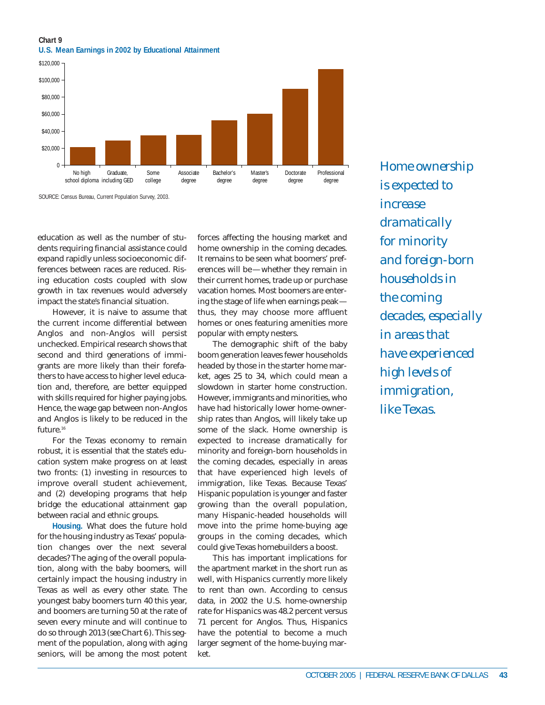## **Chart 9 U.S. Mean Earnings in 2002 by Educational Attainment**



SOURCE: Census Bureau, Current Population Survey, 2003.

education as well as the number of students requiring financial assistance could expand rapidly unless socioeconomic differences between races are reduced. Rising education costs coupled with slow growth in tax revenues would adversely impact the state's financial situation.

However, it is naive to assume that the current income differential between Anglos and non-Anglos will persist unchecked. Empirical research shows that second and third generations of immigrants are more likely than their forefathers to have access to higher level education and, therefore, are better equipped with skills required for higher paying jobs. Hence, the wage gap between non-Anglos and Anglos is likely to be reduced in the future.<sup>16</sup>

For the Texas economy to remain robust, it is essential that the state's education system make progress on at least two fronts: (1) investing in resources to improve overall student achievement, and (2) developing programs that help bridge the educational attainment gap between racial and ethnic groups.

**Housing.** What does the future hold for the housing industry as Texas' population changes over the next several decades? The aging of the overall population, along with the baby boomers, will certainly impact the housing industry in Texas as well as every other state. The youngest baby boomers turn 40 this year, and boomers are turning 50 at the rate of seven every minute and will continue to do so through 2013 (*see Chart 6*). This segment of the population, along with aging seniors, will be among the most potent

forces affecting the housing market and home ownership in the coming decades. It remains to be seen what boomers' preferences will be—whether they remain in their current homes, trade up or purchase vacation homes. Most boomers are entering the stage of life when earnings peak thus, they may choose more affluent homes or ones featuring amenities more popular with empty nesters.

The demographic shift of the baby boom generation leaves fewer households headed by those in the starter home market, ages 25 to 34, which could mean a slowdown in starter home construction. However, immigrants and minorities, who have had historically lower home-ownership rates than Anglos, will likely take up some of the slack. Home ownership is expected to increase dramatically for minority and foreign-born households in the coming decades, especially in areas that have experienced high levels of immigration, like Texas. Because Texas' Hispanic population is younger and faster growing than the overall population, many Hispanic-headed households will move into the prime home-buying age groups in the coming decades, which could give Texas homebuilders a boost.

This has important implications for the apartment market in the short run as well, with Hispanics currently more likely to rent than own. According to census data, in 2002 the U.S. home-ownership rate for Hispanics was 48.2 percent versus 71 percent for Anglos. Thus, Hispanics have the potential to become a much larger segment of the home-buying market.

*Home ownership is expected to increase dramatically for minority and foreign-born households in the coming decades, especially in areas that have experienced high levels of immigration, like Texas.*